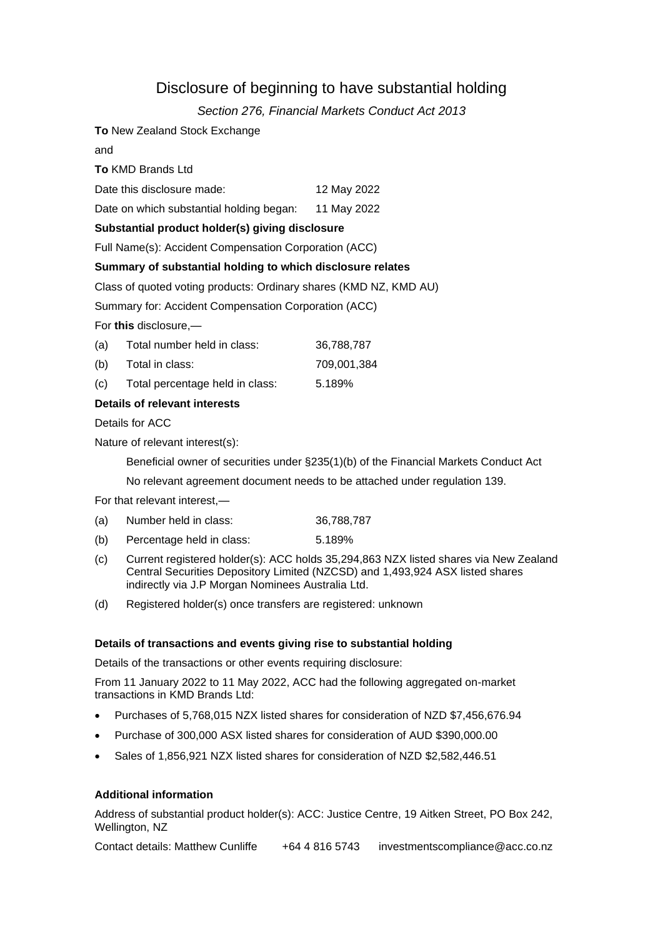# Disclosure of beginning to have substantial holding

## *Section 276, Financial Markets Conduct Act 2013*

**To** New Zealand Stock Exchange

and

**To** KMD Brands Ltd

Date this disclosure made: 12 May 2022

Date on which substantial holding began: 11 May 2022

### **Substantial product holder(s) giving disclosure**

Full Name(s): Accident Compensation Corporation (ACC)

#### **Summary of substantial holding to which disclosure relates**

Class of quoted voting products: Ordinary shares (KMD NZ, KMD AU)

Summary for: Accident Compensation Corporation (ACC)

For **this** disclosure,—

| (a) | Total number held in class:     | 36.788.787  |
|-----|---------------------------------|-------------|
| (b) | Total in class:                 | 709.001.384 |
| (c) | Total percentage held in class: | 5.189%      |

#### **Details of relevant interests**

Details for ACC

Nature of relevant interest(s):

Beneficial owner of securities under §235(1)(b) of the Financial Markets Conduct Act

No relevant agreement document needs to be attached under regulation 139.

For that relevant interest,—

- (a) Number held in class: 36,788,787
- (b) Percentage held in class: 5.189%
- (c) Current registered holder(s): ACC holds 35,294,863 NZX listed shares via New Zealand Central Securities Depository Limited (NZCSD) and 1,493,924 ASX listed shares indirectly via J.P Morgan Nominees Australia Ltd.
- (d) Registered holder(s) once transfers are registered: unknown

#### **Details of transactions and events giving rise to substantial holding**

Details of the transactions or other events requiring disclosure:

From 11 January 2022 to 11 May 2022, ACC had the following aggregated on-market transactions in KMD Brands Ltd:

- Purchases of 5,768,015 NZX listed shares for consideration of NZD \$7,456,676.94
- Purchase of 300,000 ASX listed shares for consideration of AUD \$390,000.00
- Sales of 1,856,921 NZX listed shares for consideration of NZD \$2,582,446.51

#### **Additional information**

Address of substantial product holder(s): ACC: Justice Centre, 19 Aitken Street, PO Box 242, Wellington, NZ

Contact details: Matthew Cunliffe +64 4 816 5743 investmentscompliance@acc.co.nz